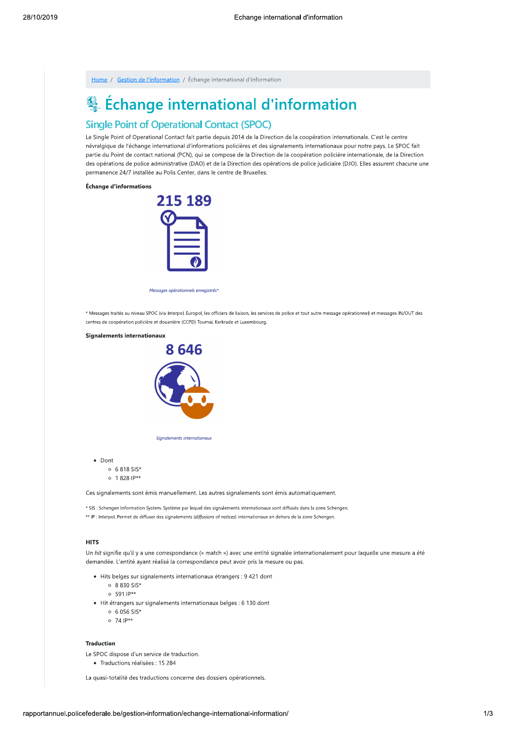Home / Gestion de l'information / Échange international d'information

# & Échange international d'information

## **Single Point of Operational Contact (SPOC)**

Le Single Point of Operational Contact fait partie depuis 2014 de la Direction de la coopération internationale. C'est le centre névralgique de l'échange international d'informations policières et des signalements internationaux pour notre pays. Le SPOC fait partie du Point de contact national (PCN), qui se compose de la Direction de la coopération policière internationale, de la Direction des opérations de police administrative (DAO) et de la Direction des opérations de police judiciaire (DJO). Elles assurent chacune une permanence 24/7 installée au Polis Center, dans le centre de Bruxelles.

#### Échange d'informations



Messages opérationnels enregistrés

\* Messages traités au niveau SPOC (via Interpol, Europol, les officiers de liaison, les services de police et tout autre message opérationnel) et messages IN/OUT des centres de coopération policière et douanière (CCPD) Tournai, Kerkrade et Luxembourg

# **Signalements internationaux** 8 646



Sianalements internationaus

• Dont

- $0.6818$  SIS\*
- $0 1828$  IP\*\*

Ces signalements sont émis manuellement. Les autres signalements sont émis automatiquement.

\* SIS : Schengen Information System. Système par lequel des signalements internationaux sont diffusés dans la zone Schengen. \*\* IP : Interpol. Permet de diffuser des signalements (diffusions of notices) internationaux en dehors de la zone Schengen.

#### **HITS**

Un hit signifie qu'il y a une correspondance (« match ») avec une entité signalée internationalement pour laquelle une mesure a été demandée. L'entité ayant réalisé la correspondance peut avoir pris la mesure ou pas.

- · Hits belges sur signalements internationaux étrangers : 9 421 dont
	- $0.8830 SIS*$
	- $0.5911P^{**}$
- · Hit étrangers sur signalements internationaux belges : 6 130 dont
	- $0.6056$  SIS\*
	- $0.741P**$

#### **Traduction**

Le SPOC dispose d'un service de traduction.

· Traductions réalisées : 15 284

La quasi-totalité des traductions concerne des dossiers opérationnels.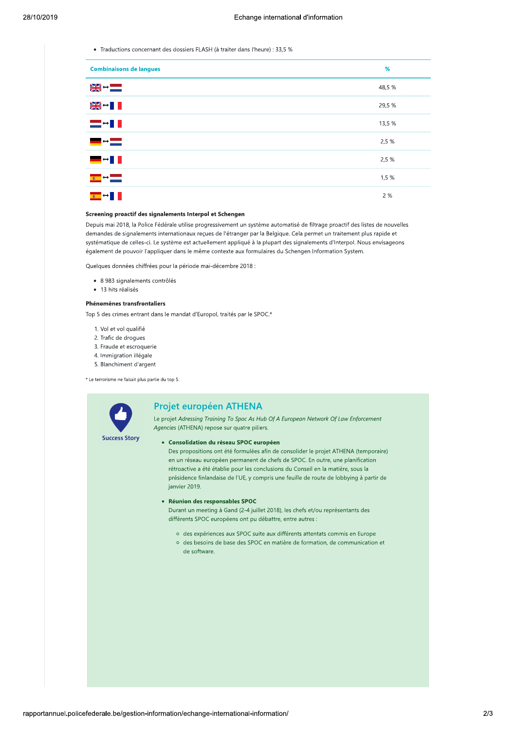• Traductions concernant des dossiers FLASH (à traiter dans l'heure) : 33,5 %

| <b>Combinaisons de langues</b>                                  | %      |
|-----------------------------------------------------------------|--------|
| $\frac{N}{2N}$ $\rightarrow$ $\frac{N}{N}$                      | 48,5 % |
| ▓▓⇔▊▊                                                           | 29,5 % |
| ▅▚▊▋                                                            | 13,5 % |
| ▀▝▀                                                             | 2,5%   |
| ▀▘▘▌▌                                                           | 2,5%   |
| $\overline{a}$ $\overline{b}$ $\overline{a}$ $\overline{b}$     | 1,5%   |
| $\overline{\mathbf{z}}$ $\rightarrow$ $\mathbf{I}$ $\mathbf{I}$ | 2 %    |

#### Screening proactif des signalements Interpol et Schengen

Depuis mai 2018, la Police Fédérale utilise progressivement un système automatisé de filtrage proactif des listes de nouvelles demandes de signalements internationaux reçues de l'étranger par la Belgique. Cela permet un traitement plus rapide et systématique de celles-ci. Le système est actuellement appliqué à la plupart des signalements d'Interpol. Nous envisageons également de pouvoir l'appliquer dans le même contexte aux formulaires du Schengen Information System.

Quelques données chiffrées pour la période mai-décembre 2018 :

- · 8 983 signalements contrôlés
- · 13 hits réalisés

#### Phénomènes transfrontaliers

Top 5 des crimes entrant dans le mandat d'Europol, traités par le SPOC.\*

- 1. Vol et vol qualifié
- 2. Trafic de drogues
- 3. Fraude et escroquerie
- 4. Immigration illégale
- 5. Blanchiment d'argent

\* Le terrorisme ne faisait plus partie du top 5.



#### Projet européen ATHENA

Le projet Adressing Training To Spoc As Hub Of A European Network Of Law Enforcement Agencies (ATHENA) repose sur quatre piliers.

· Consolidation du réseau SPOC européen

Des propositions ont été formulées afin de consolider le projet ATHENA (temporaire) en un réseau européen permanent de chefs de SPOC. En outre, une planification rétroactive a été établie pour les conclusions du Conseil en la matière, sous la présidence finlandaise de l'UE, y compris une feuille de route de lobbying à partir de janvier 2019.

#### · Réunion des responsables SPOC

Durant un meeting à Gand (2-4 juillet 2018), les chefs et/ou représentants des différents SPOC européens ont pu débattre, entre autres :

- o des expériences aux SPOC suite aux différents attentats commis en Europe
- o des besoins de base des SPOC en matière de formation, de communication et de software.